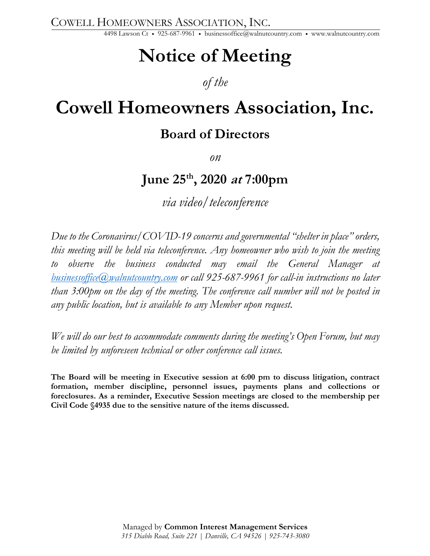COWELL HOMEOWNERS ASSOCIATION, INC.

4498 Lawson Ct • 925-687-9961 • businessoffice@walnutcountry.com • www.walnutcountry.com

# **Notice of Meeting**

## *of the*

## **Cowell Homeowners Association, Inc.**

## **Board of Directors**

*on*

## **June 25th , 2020 at 7:00pm**

*via video/teleconference*

*Due to the Coronavirus/COVID-19 concerns and governmental "shelter in place" orders, this meeting will be held via teleconference. Any homeowner who wish to join the meeting to observe the business conducted may email the General Manager at businessoffice@walnutcountry.com or call 925-687-9961 for call-in instructions no later than 3:00pm on the day of the meeting. The conference call number will not be posted in any public location, but is available to any Member upon request.*

*We will do our best to accommodate comments during the meeting's Open Forum, but may be limited by unforeseen technical or other conference call issues.*

**The Board will be meeting in Executive session at 6:00 pm to discuss litigation, contract formation, member discipline, personnel issues, payments plans and collections or foreclosures. As a reminder, Executive Session meetings are closed to the membership per Civil Code §4935 due to the sensitive nature of the items discussed.**